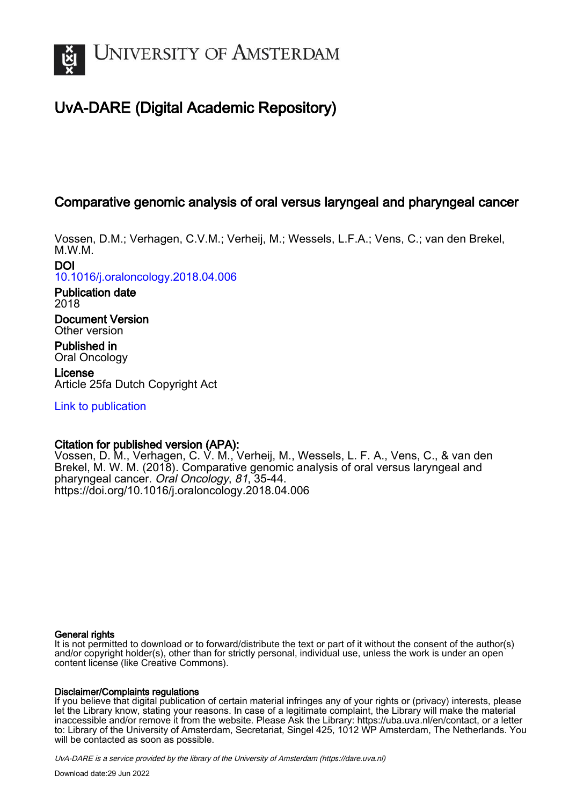

# UvA-DARE (Digital Academic Repository)

## Comparative genomic analysis of oral versus laryngeal and pharyngeal cancer

Vossen, D.M.; Verhagen, C.V.M.; Verheij, M.; Wessels, L.F.A.; Vens, C.; van den Brekel, M.W.M.

DOI

[10.1016/j.oraloncology.2018.04.006](https://doi.org/10.1016/j.oraloncology.2018.04.006)

Publication date 2018

Document Version Other version

Published in Oral Oncology

License Article 25fa Dutch Copyright Act

[Link to publication](https://dare.uva.nl/personal/pure/en/publications/comparative-genomic-analysis-of-oral-versus-laryngeal-and-pharyngeal-cancer(30aaf1fa-9634-489d-9893-0a81b3eaf551).html)

## Citation for published version (APA):

Vossen, D. M., Verhagen, C. V. M., Verheij, M., Wessels, L. F. A., Vens, C., & van den Brekel, M. W. M. (2018). Comparative genomic analysis of oral versus laryngeal and pharyngeal cancer. Oral Oncology, 81, 35-44. <https://doi.org/10.1016/j.oraloncology.2018.04.006>

#### General rights

It is not permitted to download or to forward/distribute the text or part of it without the consent of the author(s) and/or copyright holder(s), other than for strictly personal, individual use, unless the work is under an open content license (like Creative Commons).

#### Disclaimer/Complaints regulations

If you believe that digital publication of certain material infringes any of your rights or (privacy) interests, please let the Library know, stating your reasons. In case of a legitimate complaint, the Library will make the material inaccessible and/or remove it from the website. Please Ask the Library: https://uba.uva.nl/en/contact, or a letter to: Library of the University of Amsterdam, Secretariat, Singel 425, 1012 WP Amsterdam, The Netherlands. You will be contacted as soon as possible.

UvA-DARE is a service provided by the library of the University of Amsterdam (http*s*://dare.uva.nl)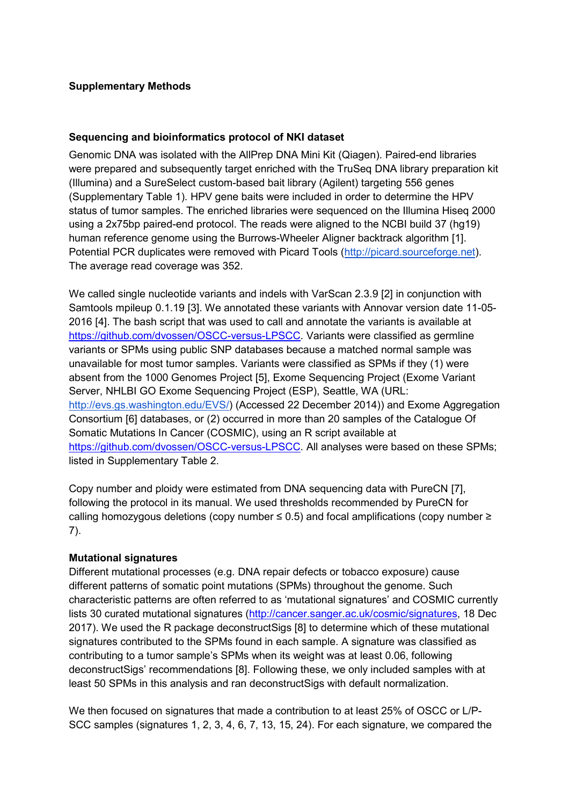## **Supplementary Methods**

## **Sequencing and bioinformatics protocol of NKI dataset**

Genomic DNA was isolated with the AllPrep DNA Mini Kit (Qiagen). Paired-end libraries were prepared and subsequently target enriched with the TruSeq DNA library preparation kit (Illumina) and a SureSelect custom-based bait library (Agilent) targeting 556 genes (Supplementary Table 1). HPV gene baits were included in order to determine the HPV status of tumor samples. The enriched libraries were sequenced on the Illumina Hiseq 2000 using a 2x75bp paired-end protocol. The reads were aligned to the NCBI build 37 (hg19) human reference genome using the Burrows-Wheeler Aligner backtrack algorithm [1]. Potential PCR duplicates were removed with Picard Tools [\(http://picard.sourceforge.net\)](http://picard.sourceforge.net./). The average read coverage was 352.

We called single nucleotide variants and indels with VarScan 2.3.9 [2] in conjunction with Samtools mpileup 0.1.19 [3]. We annotated these variants with Annovar version date 11-05- 2016 [4]. The bash script that was used to call and annotate the variants is available at [https://github.com/dvossen/OSCC-versus-LPSCC.](https://github.com/dvossen/OSCC-versus-LPSCC) Variants were classified as germline variants or SPMs using public SNP databases because a matched normal sample was unavailable for most tumor samples. Variants were classified as SPMs if they (1) were absent from the 1000 Genomes Project [5], Exome Sequencing Project (Exome Variant Server, NHLBI GO Exome Sequencing Project (ESP), Seattle, WA (URL: [http://evs.gs.washington.edu/EVS/\)](http://evs.gs.washington.edu/EVS/) (Accessed 22 December 2014)) and Exome Aggregation Consortium [6] databases, or (2) occurred in more than 20 samples of the Catalogue Of Somatic Mutations In Cancer (COSMIC), using an R script available at [https://github.com/dvossen/OSCC-versus-LPSCC.](https://github.com/dvossen/OSCC-versus-LPSCC) All analyses were based on these SPMs; listed in Supplementary Table 2.

Copy number and ploidy were estimated from DNA sequencing data with PureCN [7], following the protocol in its manual. We used thresholds recommended by PureCN for calling homozygous deletions (copy number ≤ 0.5) and focal amplifications (copy number ≥ 7).

## **Mutational signatures**

Different mutational processes (e.g. DNA repair defects or tobacco exposure) cause different patterns of somatic point mutations (SPMs) throughout the genome. Such characteristic patterns are often referred to as 'mutational signatures' and COSMIC currently lists 30 curated mutational signatures [\(http://cancer.sanger.ac.uk/cosmic/signatures,](http://cancer.sanger.ac.uk/cosmic/signatures) 18 Dec 2017). We used the R package deconstructSigs [8] to determine which of these mutational signatures contributed to the SPMs found in each sample. A signature was classified as contributing to a tumor sample's SPMs when its weight was at least 0.06, following deconstructSigs' recommendations [8]. Following these, we only included samples with at least 50 SPMs in this analysis and ran deconstructSigs with default normalization.

We then focused on signatures that made a contribution to at least 25% of OSCC or L/P-SCC samples (signatures 1, 2, 3, 4, 6, 7, 13, 15, 24). For each signature, we compared the